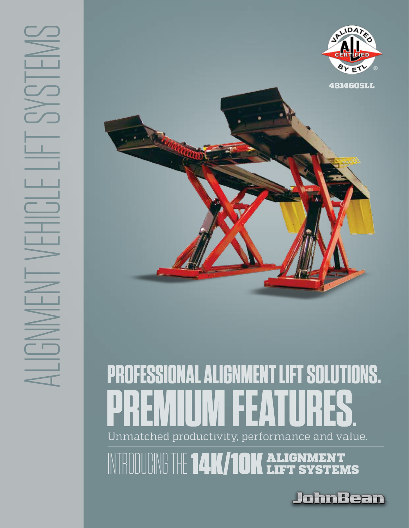



### Unmatched productivity, performance and value. **PROFESSIONAL ALIGNMENT LIFT SOLUTIONS . PREMIUM FEATURES .**

NTRODUCING THE **14K/10K** ALIGNMENT

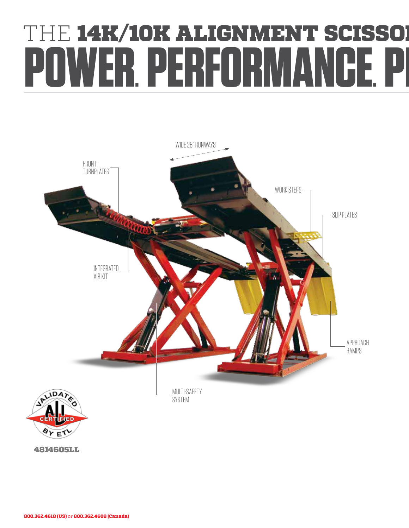## **THE 14K/10K ALIGNMENT SCISSOR** ER. PERFORMANCE. P



4814605LL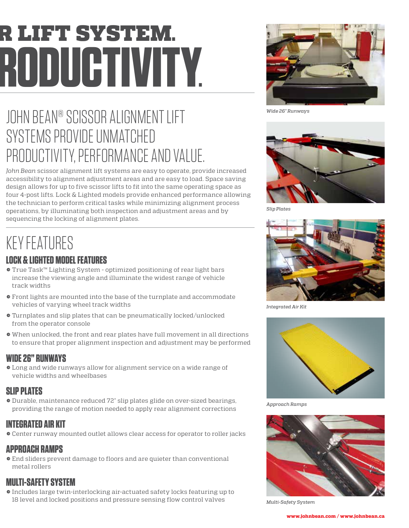# **R** LIFT SYSTEM. **POWER. PERFORMANCE. PRODUCTIVITY.**



*Wide 26" Runways*

## JOHN BEAN® SCISSOR ALIGNMENT LIFT SYSTEMS PROVIDE UNMATCHED PRODUCTIVITY, PERFORMANCE AND VALUE.

*John Bean* scissor alignment lift systems are easy to operate, provide increased accessibility to alignment adjustment areas and are easy to load. Space saving design allows for up to five scissor lifts to fit into the same operating space as four 4-post lifts. Lock & Lighted models provide enhanced performance allowing the technician to perform critical tasks while minimizing alignment process operations, by illuminating both inspection and adjustment areas and by sequencing the locking of alignment plates.

## KEY FEATURES

### **LOCK & LIGHTED MODEL FEATURES**

- → True Task™ Lighting System optimized positioning of rear light bars increase the viewing angle and illuminate the widest range of vehicle track widths
- → Front lights are mounted into the base of the turnplate and accommodate vehicles of varying wheel track widths
- → Turnplates and slip plates that can be pneumatically locked/unlocked from the operator console
- → When unlocked, the front and rear plates have full movement in all directions to ensure that proper alignment inspection and adjustment may be performed

#### **WIDE 26" RUNWAYS**

→ Long and wide runways allow for alignment service on a wide range of vehicle widths and wheelbases

#### **SLIP PLATES**

→ Durable, maintenance reduced 72" slip plates glide on over-sized bearings, providing the range of motion needed to apply rear alignment corrections

#### **INTEGRATED AIR KIT**

→ Center runway mounted outlet allows clear access for operator to roller jacks

#### **APPROACH RAMPS**

→ End sliders prevent damage to floors and are quieter than conventional metal rollers

#### **MULTI-SAFETY SYSTEM**

→ Includes large twin-interlocking air-actuated safety locks featuring up to 18 level and locked positions and pressure sensing flow control valves



*Slip Plates*



*Integrated Air Kit*



*Approach Ramps*



*Multi-Safety System*